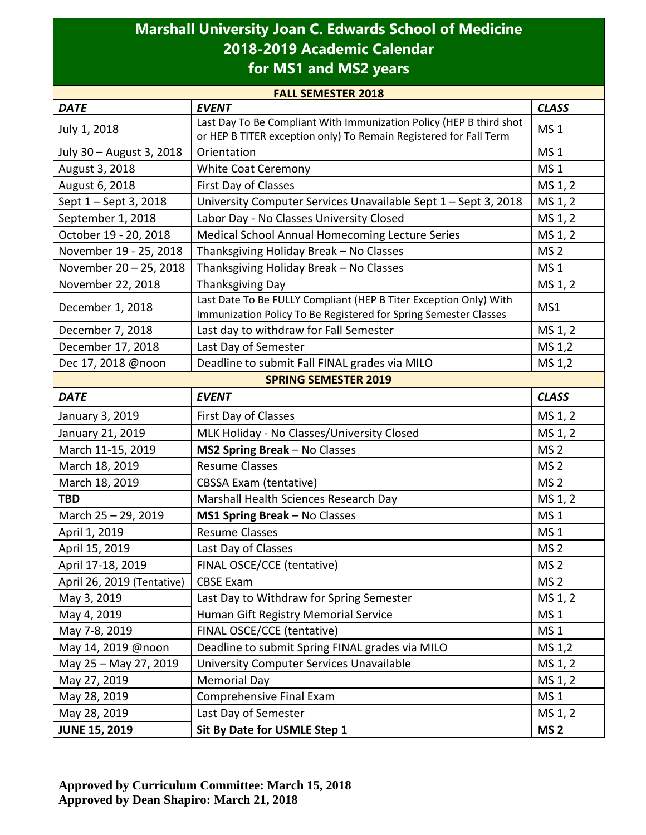## **Marshall University Joan C. Edwards School of Medicine 2018-2019 Academic Calendar for MS1 and MS2 years**

| <b>FALL SEMESTER 2018</b>  |                                                                                                                                       |                 |  |  |
|----------------------------|---------------------------------------------------------------------------------------------------------------------------------------|-----------------|--|--|
| <b>DATE</b>                | <b>EVENT</b>                                                                                                                          | <b>CLASS</b>    |  |  |
| July 1, 2018               | Last Day To Be Compliant With Immunization Policy (HEP B third shot                                                                   | MS <sub>1</sub> |  |  |
|                            | or HEP B TITER exception only) To Remain Registered for Fall Term                                                                     |                 |  |  |
| July 30 - August 3, 2018   | Orientation                                                                                                                           | <b>MS1</b>      |  |  |
| August 3, 2018             | <b>White Coat Ceremony</b>                                                                                                            | <b>MS1</b>      |  |  |
| August 6, 2018             | First Day of Classes                                                                                                                  | MS 1, 2         |  |  |
| Sept 1 - Sept 3, 2018      | University Computer Services Unavailable Sept 1 - Sept 3, 2018                                                                        | MS 1, 2         |  |  |
| September 1, 2018          | Labor Day - No Classes University Closed                                                                                              | MS 1, 2         |  |  |
| October 19 - 20, 2018      | Medical School Annual Homecoming Lecture Series                                                                                       | MS 1, 2         |  |  |
| November 19 - 25, 2018     | Thanksgiving Holiday Break - No Classes                                                                                               | MS <sub>2</sub> |  |  |
| November 20 - 25, 2018     | Thanksgiving Holiday Break - No Classes                                                                                               | MS <sub>1</sub> |  |  |
| November 22, 2018          | <b>Thanksgiving Day</b>                                                                                                               | MS 1, 2         |  |  |
| December 1, 2018           | Last Date To Be FULLY Compliant (HEP B Titer Exception Only) With<br>Immunization Policy To Be Registered for Spring Semester Classes | MS1             |  |  |
| December 7, 2018           | Last day to withdraw for Fall Semester                                                                                                | MS 1, 2         |  |  |
| December 17, 2018          | Last Day of Semester                                                                                                                  | MS 1,2          |  |  |
| Dec 17, 2018 @noon         | Deadline to submit Fall FINAL grades via MILO                                                                                         | MS 1,2          |  |  |
|                            | <b>SPRING SEMESTER 2019</b>                                                                                                           |                 |  |  |
| <b>DATE</b>                | <b>EVENT</b>                                                                                                                          | <b>CLASS</b>    |  |  |
| January 3, 2019            | First Day of Classes                                                                                                                  | MS 1, 2         |  |  |
| January 21, 2019           | MLK Holiday - No Classes/University Closed                                                                                            | MS 1, 2         |  |  |
| March 11-15, 2019          | MS2 Spring Break - No Classes                                                                                                         | MS <sub>2</sub> |  |  |
| March 18, 2019             | <b>Resume Classes</b>                                                                                                                 | MS <sub>2</sub> |  |  |
| March 18, 2019             | <b>CBSSA Exam (tentative)</b>                                                                                                         | MS <sub>2</sub> |  |  |
| <b>TBD</b>                 | Marshall Health Sciences Research Day                                                                                                 | MS 1, 2         |  |  |
| March 25 - 29, 2019        | MS1 Spring Break - No Classes                                                                                                         | <b>MS1</b>      |  |  |
| April 1, 2019              | <b>Resume Classes</b>                                                                                                                 | MS <sub>1</sub> |  |  |
| April 15, 2019             | Last Day of Classes                                                                                                                   | MS <sub>2</sub> |  |  |
| April 17-18, 2019          | FINAL OSCE/CCE (tentative)                                                                                                            | MS <sub>2</sub> |  |  |
| April 26, 2019 (Tentative) | <b>CBSE Exam</b>                                                                                                                      | MS <sub>2</sub> |  |  |
| May 3, 2019                | Last Day to Withdraw for Spring Semester                                                                                              | MS 1, 2         |  |  |
| May 4, 2019                | Human Gift Registry Memorial Service                                                                                                  | MS <sub>1</sub> |  |  |
| May 7-8, 2019              | FINAL OSCE/CCE (tentative)                                                                                                            | <b>MS1</b>      |  |  |
| May 14, 2019 @noon         | Deadline to submit Spring FINAL grades via MILO                                                                                       | MS 1,2          |  |  |
| May 25 - May 27, 2019      | University Computer Services Unavailable                                                                                              | MS 1, 2         |  |  |
| May 27, 2019               | <b>Memorial Day</b>                                                                                                                   | MS 1, 2         |  |  |
| May 28, 2019               | Comprehensive Final Exam                                                                                                              | MS <sub>1</sub> |  |  |
| May 28, 2019               | Last Day of Semester                                                                                                                  | MS 1, 2         |  |  |
| <b>JUNE 15, 2019</b>       | Sit By Date for USMLE Step 1                                                                                                          | MS <sub>2</sub> |  |  |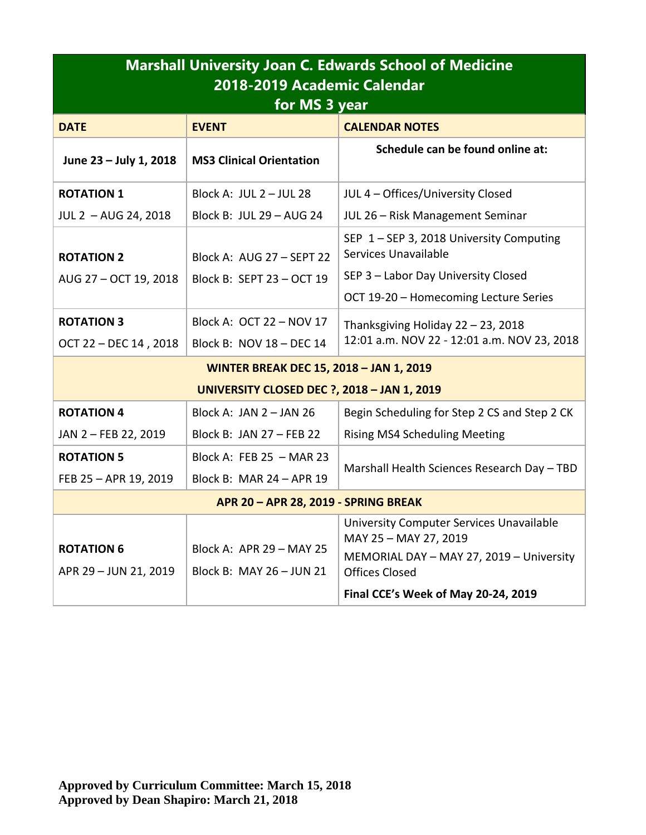| <b>EVENT</b><br><b>CALENDAR NOTES</b><br><b>DATE</b><br>Schedule can be found online at:<br><b>MS3 Clinical Orientation</b><br>June 23 - July 1, 2018<br><b>ROTATION 1</b><br>Block A: JUL 2 - JUL 28<br>JUL 4 - Offices/University Closed<br>Block B: JUL 29 - AUG 24<br>JUL 2 - AUG 24, 2018<br>JUL 26 - Risk Management Seminar<br>SEP 1-SEP 3, 2018 University Computing<br>Services Unavailable<br><b>ROTATION 2</b><br>Block A: AUG 27 - SEPT 22<br>SEP 3 - Labor Day University Closed<br>AUG 27 - OCT 19, 2018<br>Block B: SEPT 23 - OCT 19<br>OCT 19-20 - Homecoming Lecture Series<br><b>ROTATION 3</b><br>Block A: OCT 22 - NOV 17<br>Thanksgiving Holiday 22 - 23, 2018<br>OCT 22 - DEC 14, 2018<br>Block B: NOV 18 - DEC 14<br><b>WINTER BREAK DEC 15, 2018 - JAN 1, 2019</b><br><b>UNIVERSITY CLOSED DEC ?, 2018 - JAN 1, 2019</b><br><b>ROTATION 4</b><br>Block A: JAN $2 -$ JAN 26<br>JAN 2 - FEB 22, 2019<br>Block B: JAN 27 - FEB 22<br><b>Rising MS4 Scheduling Meeting</b><br><b>ROTATION 5</b><br>Block A: FEB 25 $-$ MAR 23<br>Block B: MAR 24 - APR 19<br>FEB 25 - APR 19, 2019<br>APR 20 - APR 28, 2019 - SPRING BREAK<br>University Computer Services Unavailable | <b>Marshall University Joan C. Edwards School of Medicine</b><br>2018-2019 Academic Calendar<br>for MS 3 year |                          |                                                                   |  |  |
|--------------------------------------------------------------------------------------------------------------------------------------------------------------------------------------------------------------------------------------------------------------------------------------------------------------------------------------------------------------------------------------------------------------------------------------------------------------------------------------------------------------------------------------------------------------------------------------------------------------------------------------------------------------------------------------------------------------------------------------------------------------------------------------------------------------------------------------------------------------------------------------------------------------------------------------------------------------------------------------------------------------------------------------------------------------------------------------------------------------------------------------------------------------------------------------------|---------------------------------------------------------------------------------------------------------------|--------------------------|-------------------------------------------------------------------|--|--|
|                                                                                                                                                                                                                                                                                                                                                                                                                                                                                                                                                                                                                                                                                                                                                                                                                                                                                                                                                                                                                                                                                                                                                                                            |                                                                                                               |                          |                                                                   |  |  |
|                                                                                                                                                                                                                                                                                                                                                                                                                                                                                                                                                                                                                                                                                                                                                                                                                                                                                                                                                                                                                                                                                                                                                                                            |                                                                                                               |                          |                                                                   |  |  |
|                                                                                                                                                                                                                                                                                                                                                                                                                                                                                                                                                                                                                                                                                                                                                                                                                                                                                                                                                                                                                                                                                                                                                                                            |                                                                                                               |                          |                                                                   |  |  |
|                                                                                                                                                                                                                                                                                                                                                                                                                                                                                                                                                                                                                                                                                                                                                                                                                                                                                                                                                                                                                                                                                                                                                                                            |                                                                                                               |                          |                                                                   |  |  |
|                                                                                                                                                                                                                                                                                                                                                                                                                                                                                                                                                                                                                                                                                                                                                                                                                                                                                                                                                                                                                                                                                                                                                                                            |                                                                                                               |                          |                                                                   |  |  |
|                                                                                                                                                                                                                                                                                                                                                                                                                                                                                                                                                                                                                                                                                                                                                                                                                                                                                                                                                                                                                                                                                                                                                                                            |                                                                                                               |                          |                                                                   |  |  |
|                                                                                                                                                                                                                                                                                                                                                                                                                                                                                                                                                                                                                                                                                                                                                                                                                                                                                                                                                                                                                                                                                                                                                                                            |                                                                                                               |                          |                                                                   |  |  |
|                                                                                                                                                                                                                                                                                                                                                                                                                                                                                                                                                                                                                                                                                                                                                                                                                                                                                                                                                                                                                                                                                                                                                                                            |                                                                                                               |                          |                                                                   |  |  |
|                                                                                                                                                                                                                                                                                                                                                                                                                                                                                                                                                                                                                                                                                                                                                                                                                                                                                                                                                                                                                                                                                                                                                                                            |                                                                                                               |                          | 12:01 a.m. NOV 22 - 12:01 a.m. NOV 23, 2018                       |  |  |
|                                                                                                                                                                                                                                                                                                                                                                                                                                                                                                                                                                                                                                                                                                                                                                                                                                                                                                                                                                                                                                                                                                                                                                                            |                                                                                                               |                          |                                                                   |  |  |
|                                                                                                                                                                                                                                                                                                                                                                                                                                                                                                                                                                                                                                                                                                                                                                                                                                                                                                                                                                                                                                                                                                                                                                                            |                                                                                                               |                          |                                                                   |  |  |
|                                                                                                                                                                                                                                                                                                                                                                                                                                                                                                                                                                                                                                                                                                                                                                                                                                                                                                                                                                                                                                                                                                                                                                                            |                                                                                                               |                          | Begin Scheduling for Step 2 CS and Step 2 CK                      |  |  |
|                                                                                                                                                                                                                                                                                                                                                                                                                                                                                                                                                                                                                                                                                                                                                                                                                                                                                                                                                                                                                                                                                                                                                                                            |                                                                                                               |                          |                                                                   |  |  |
|                                                                                                                                                                                                                                                                                                                                                                                                                                                                                                                                                                                                                                                                                                                                                                                                                                                                                                                                                                                                                                                                                                                                                                                            |                                                                                                               |                          | Marshall Health Sciences Research Day - TBD                       |  |  |
|                                                                                                                                                                                                                                                                                                                                                                                                                                                                                                                                                                                                                                                                                                                                                                                                                                                                                                                                                                                                                                                                                                                                                                                            |                                                                                                               |                          |                                                                   |  |  |
|                                                                                                                                                                                                                                                                                                                                                                                                                                                                                                                                                                                                                                                                                                                                                                                                                                                                                                                                                                                                                                                                                                                                                                                            |                                                                                                               |                          |                                                                   |  |  |
| <b>ROTATION 6</b><br>Block B: MAY 26 - JUN 21<br>APR 29 - JUN 21, 2019<br><b>Offices Closed</b><br>Final CCE's Week of May 20-24, 2019                                                                                                                                                                                                                                                                                                                                                                                                                                                                                                                                                                                                                                                                                                                                                                                                                                                                                                                                                                                                                                                     |                                                                                                               | Block A: APR 29 - MAY 25 | MAY 25 - MAY 27, 2019<br>MEMORIAL DAY - MAY 27, 2019 - University |  |  |